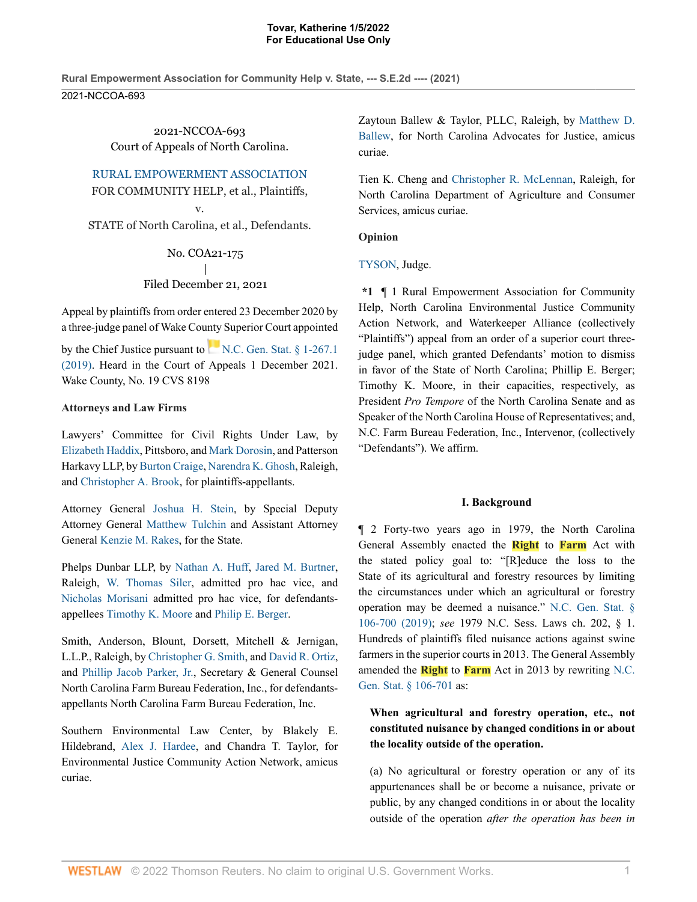**Rural Empowerment Association for Community Help v. State, --- S.E.2d ---- (2021)** 2021-NCCOA-693

> 2021-NCCOA-693 Court of Appeals of North Carolina.

RURAL EMPOWERMENT ASSOCIATION

FOR COMMUNITY HELP, et al., Plaintiffs,

v.

STATE of North Carolina, et al., Defendants.

No. COA21-175 | Filed December 21, 2021

Appeal by plaintiffs from order entered 23 December 2020 by a three-judge panel of Wake County Superior Court appointed

by the Chief Justice pursuant to  $N.C.$  Gen. Stat.  $\delta$  1-267.1 (2019). Heard in the Court of Appeals 1 December 2021. Wake County, No. 19 CVS 8198

## **Attorneys and Law Firms**

Lawyers' Committee for Civil Rights Under Law, by Elizabeth Haddix, Pittsboro, and Mark Dorosin, and Patterson Harkavy LLP, by Burton Craige, Narendra K. Ghosh, Raleigh, and Christopher A. Brook, for plaintiffs-appellants.

Attorney General Joshua H. Stein, by Special Deputy Attorney General Matthew Tulchin and Assistant Attorney General Kenzie M. Rakes, for the State.

Phelps Dunbar LLP, by Nathan A. Huff, Jared M. Burtner, Raleigh, W. Thomas Siler, admitted pro hac vice, and Nicholas Morisani admitted pro hac vice, for defendantsappellees Timothy K. Moore and Philip E. Berger.

Smith, Anderson, Blount, Dorsett, Mitchell & Jernigan, L.L.P., Raleigh, by Christopher G. Smith, and David R. Ortiz, and Phillip Jacob Parker, Jr., Secretary & General Counsel North Carolina Farm Bureau Federation, Inc., for defendantsappellants North Carolina Farm Bureau Federation, Inc.

Southern Environmental Law Center, by Blakely E. Hildebrand, Alex J. Hardee, and Chandra T. Taylor, for Environmental Justice Community Action Network, amicus curiae.

Zaytoun Ballew & Taylor, PLLC, Raleigh, by Matthew D. Ballew, for North Carolina Advocates for Justice, amicus curiae.

Tien K. Cheng and Christopher R. McLennan, Raleigh, for North Carolina Department of Agriculture and Consumer Services, amicus curiae.

## **Opinion**

TYSON, Judge.

**\*1** ¶ 1 Rural Empowerment Association for Community Help, North Carolina Environmental Justice Community Action Network, and Waterkeeper Alliance (collectively "Plaintiffs") appeal from an order of a superior court threejudge panel, which granted Defendants' motion to dismiss in favor of the State of North Carolina; Phillip E. Berger; Timothy K. Moore, in their capacities, respectively, as President *Pro Tempore* of the North Carolina Senate and as Speaker of the North Carolina House of Representatives; and, N.C. Farm Bureau Federation, Inc., Intervenor, (collectively "Defendants"). We affirm.

## **I. Background**

¶ 2 Forty-two years ago in 1979, the North Carolina General Assembly enacted the **Right** to **Farm** Act with the stated policy goal to: "[R]educe the loss to the State of its agricultural and forestry resources by limiting the circumstances under which an agricultural or forestry operation may be deemed a nuisance." N.C. Gen. Stat. § 106-700 (2019); *see* 1979 N.C. Sess. Laws ch. 202, § 1. Hundreds of plaintiffs filed nuisance actions against swine farmers in the superior courts in 2013. The General Assembly amended the **Right** to **Farm** Act in 2013 by rewriting N.C. Gen. Stat. § 106-701 as:

# **When agricultural and forestry operation, etc., not constituted nuisance by changed conditions in or about the locality outside of the operation.**

(a) No agricultural or forestry operation or any of its appurtenances shall be or become a nuisance, private or public, by any changed conditions in or about the locality outside of the operation *after the operation has been in*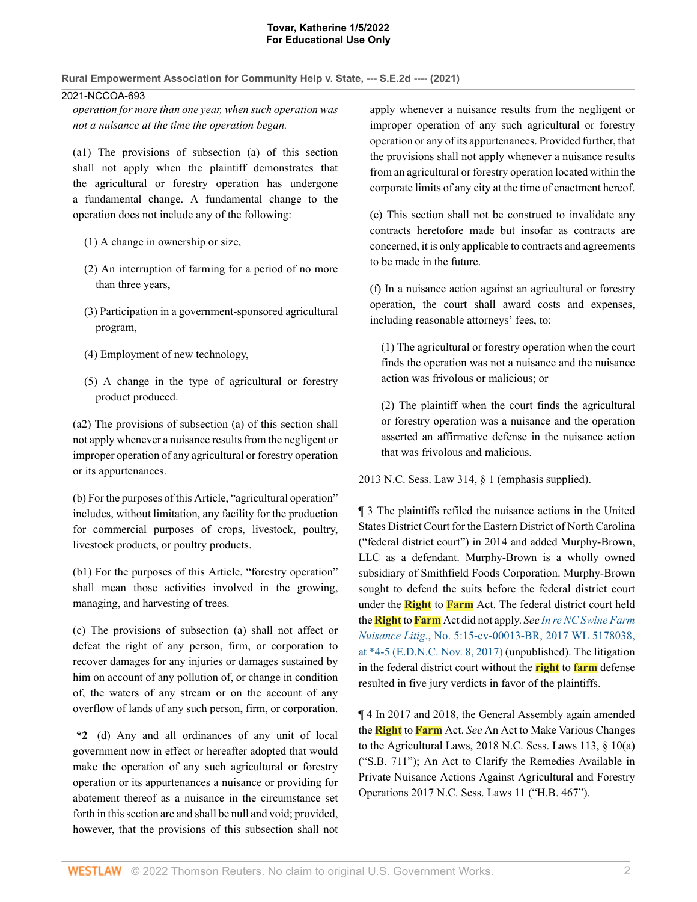**Rural Empowerment Association for Community Help v. State, --- S.E.2d ---- (2021)**

## 2021-NCCOA-693

*operation for more than one year, when such operation was not a nuisance at the time the operation began.*

(a1) The provisions of subsection (a) of this section shall not apply when the plaintiff demonstrates that the agricultural or forestry operation has undergone a fundamental change. A fundamental change to the operation does not include any of the following:

- (1) A change in ownership or size,
- (2) An interruption of farming for a period of no more than three years,
- (3) Participation in a government-sponsored agricultural program,
- (4) Employment of new technology,
- (5) A change in the type of agricultural or forestry product produced.

(a2) The provisions of subsection (a) of this section shall not apply whenever a nuisance results from the negligent or improper operation of any agricultural or forestry operation or its appurtenances.

(b) For the purposes of this Article, "agricultural operation" includes, without limitation, any facility for the production for commercial purposes of crops, livestock, poultry, livestock products, or poultry products.

(b1) For the purposes of this Article, "forestry operation" shall mean those activities involved in the growing, managing, and harvesting of trees.

(c) The provisions of subsection (a) shall not affect or defeat the right of any person, firm, or corporation to recover damages for any injuries or damages sustained by him on account of any pollution of, or change in condition of, the waters of any stream or on the account of any overflow of lands of any such person, firm, or corporation.

**\*2** (d) Any and all ordinances of any unit of local government now in effect or hereafter adopted that would make the operation of any such agricultural or forestry operation or its appurtenances a nuisance or providing for abatement thereof as a nuisance in the circumstance set forth in this section are and shall be null and void; provided, however, that the provisions of this subsection shall not

apply whenever a nuisance results from the negligent or improper operation of any such agricultural or forestry operation or any of its appurtenances. Provided further, that the provisions shall not apply whenever a nuisance results from an agricultural or forestry operation located within the corporate limits of any city at the time of enactment hereof.

(e) This section shall not be construed to invalidate any contracts heretofore made but insofar as contracts are concerned, it is only applicable to contracts and agreements to be made in the future.

(f) In a nuisance action against an agricultural or forestry operation, the court shall award costs and expenses, including reasonable attorneys' fees, to:

(1) The agricultural or forestry operation when the court finds the operation was not a nuisance and the nuisance action was frivolous or malicious; or

(2) The plaintiff when the court finds the agricultural or forestry operation was a nuisance and the operation asserted an affirmative defense in the nuisance action that was frivolous and malicious.

2013 N.C. Sess. Law 314, § 1 (emphasis supplied).

¶ 3 The plaintiffs refiled the nuisance actions in the United States District Court for the Eastern District of North Carolina ("federal district court") in 2014 and added Murphy-Brown, LLC as a defendant. Murphy-Brown is a wholly owned subsidiary of Smithfield Foods Corporation. Murphy-Brown sought to defend the suits before the federal district court under the **Right** to **Farm** Act. The federal district court held the **Right** to **Farm** Act did not apply. *See In re NC Swine Farm Nuisance Litig.*, No. 5:15-cv-00013-BR, 2017 WL 5178038, at \*4-5 (E.D.N.C. Nov. 8, 2017) (unpublished). The litigation in the federal district court without the **right** to **farm** defense resulted in five jury verdicts in favor of the plaintiffs.

¶ 4 In 2017 and 2018, the General Assembly again amended the **Right** to **Farm** Act. *See* An Act to Make Various Changes to the Agricultural Laws, 2018 N.C. Sess. Laws 113, § 10(a) ("S.B. 711"); An Act to Clarify the Remedies Available in Private Nuisance Actions Against Agricultural and Forestry Operations 2017 N.C. Sess. Laws 11 ("H.B. 467").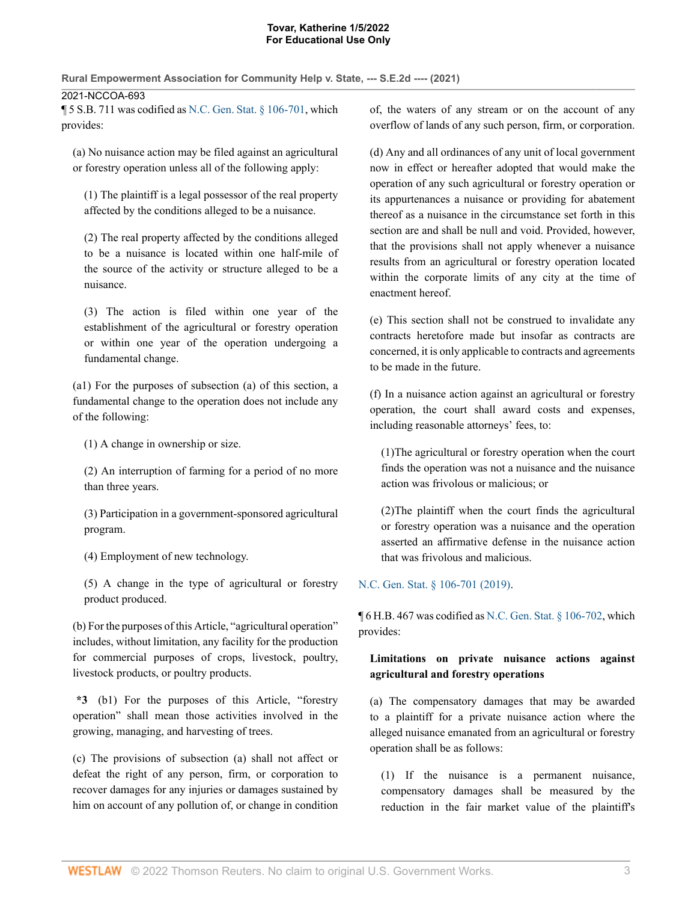**Rural Empowerment Association for Community Help v. State, --- S.E.2d ---- (2021)**

2021-NCCOA-693

¶ 5 S.B. 711 was codified as N.C. Gen. Stat. § 106-701, which provides:

(a) No nuisance action may be filed against an agricultural or forestry operation unless all of the following apply:

(1) The plaintiff is a legal possessor of the real property affected by the conditions alleged to be a nuisance.

(2) The real property affected by the conditions alleged to be a nuisance is located within one half-mile of the source of the activity or structure alleged to be a nuisance.

(3) The action is filed within one year of the establishment of the agricultural or forestry operation or within one year of the operation undergoing a fundamental change.

(a1) For the purposes of subsection (a) of this section, a fundamental change to the operation does not include any of the following:

(1) A change in ownership or size.

(2) An interruption of farming for a period of no more than three years.

(3) Participation in a government-sponsored agricultural program.

(4) Employment of new technology.

(5) A change in the type of agricultural or forestry product produced.

(b) For the purposes of this Article, "agricultural operation" includes, without limitation, any facility for the production for commercial purposes of crops, livestock, poultry, livestock products, or poultry products.

**\*3** (b1) For the purposes of this Article, "forestry operation" shall mean those activities involved in the growing, managing, and harvesting of trees.

(c) The provisions of subsection (a) shall not affect or defeat the right of any person, firm, or corporation to recover damages for any injuries or damages sustained by him on account of any pollution of, or change in condition of, the waters of any stream or on the account of any overflow of lands of any such person, firm, or corporation.

(d) Any and all ordinances of any unit of local government now in effect or hereafter adopted that would make the operation of any such agricultural or forestry operation or its appurtenances a nuisance or providing for abatement thereof as a nuisance in the circumstance set forth in this section are and shall be null and void. Provided, however, that the provisions shall not apply whenever a nuisance results from an agricultural or forestry operation located within the corporate limits of any city at the time of enactment hereof.

(e) This section shall not be construed to invalidate any contracts heretofore made but insofar as contracts are concerned, it is only applicable to contracts and agreements to be made in the future.

(f) In a nuisance action against an agricultural or forestry operation, the court shall award costs and expenses, including reasonable attorneys' fees, to:

(1)The agricultural or forestry operation when the court finds the operation was not a nuisance and the nuisance action was frivolous or malicious; or

(2)The plaintiff when the court finds the agricultural or forestry operation was a nuisance and the operation asserted an affirmative defense in the nuisance action that was frivolous and malicious.

# N.C. Gen. Stat. § 106-701 (2019).

 $\P$  6 H.B. 467 was codified as N.C. Gen. Stat. § 106-702, which provides:

# **Limitations on private nuisance actions against agricultural and forestry operations**

(a) The compensatory damages that may be awarded to a plaintiff for a private nuisance action where the alleged nuisance emanated from an agricultural or forestry operation shall be as follows:

(1) If the nuisance is a permanent nuisance, compensatory damages shall be measured by the reduction in the fair market value of the plaintiff's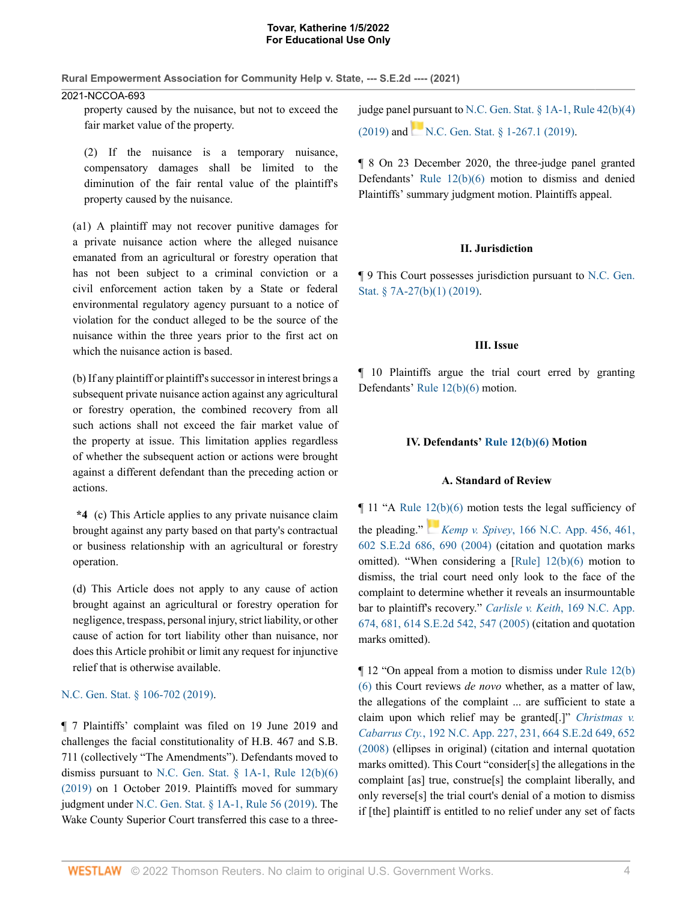**Rural Empowerment Association for Community Help v. State, --- S.E.2d ---- (2021)**

## 2021-NCCOA-693

property caused by the nuisance, but not to exceed the fair market value of the property.

(2) If the nuisance is a temporary nuisance, compensatory damages shall be limited to the diminution of the fair rental value of the plaintiff's property caused by the nuisance.

(a1) A plaintiff may not recover punitive damages for a private nuisance action where the alleged nuisance emanated from an agricultural or forestry operation that has not been subject to a criminal conviction or a civil enforcement action taken by a State or federal environmental regulatory agency pursuant to a notice of violation for the conduct alleged to be the source of the nuisance within the three years prior to the first act on which the nuisance action is based.

(b) If any plaintiff or plaintiff's successor in interest brings a subsequent private nuisance action against any agricultural or forestry operation, the combined recovery from all such actions shall not exceed the fair market value of the property at issue. This limitation applies regardless of whether the subsequent action or actions were brought against a different defendant than the preceding action or actions.

**\*4** (c) This Article applies to any private nuisance claim brought against any party based on that party's contractual or business relationship with an agricultural or forestry operation.

(d) This Article does not apply to any cause of action brought against an agricultural or forestry operation for negligence, trespass, personal injury, strict liability, or other cause of action for tort liability other than nuisance, nor does this Article prohibit or limit any request for injunctive relief that is otherwise available.

## N.C. Gen. Stat. § 106-702 (2019).

¶ 7 Plaintiffs' complaint was filed on 19 June 2019 and challenges the facial constitutionality of H.B. 467 and S.B. 711 (collectively "The Amendments"). Defendants moved to dismiss pursuant to N.C. Gen. Stat.  $\S$  1A-1, Rule 12(b)(6) (2019) on 1 October 2019. Plaintiffs moved for summary judgment under N.C. Gen. Stat. § 1A-1, Rule 56 (2019). The Wake County Superior Court transferred this case to a threejudge panel pursuant to N.C. Gen. Stat. § 1A-1, Rule 42(b)(4) (2019) and N.C. Gen. Stat.  $\frac{8}{1-267.1}$  (2019).

¶ 8 On 23 December 2020, the three-judge panel granted Defendants' Rule 12(b)(6) motion to dismiss and denied Plaintiffs' summary judgment motion. Plaintiffs appeal.

## **II. Jurisdiction**

¶ 9 This Court possesses jurisdiction pursuant to N.C. Gen. Stat. § 7A-27(b)(1) (2019).

## **III. Issue**

¶ 10 Plaintiffs argue the trial court erred by granting Defendants' Rule 12(b)(6) motion.

## **IV. Defendants' Rule 12(b)(6) Motion**

## **A. Standard of Review**

 $\P$  11 "A Rule 12(b)(6) motion tests the legal sufficiency of

the pleading." *Kemp v. Spivey*, 166 N.C. App. 456, 461, 602 S.E.2d 686, 690 (2004) (citation and quotation marks omitted). "When considering a [Rule] 12(b)(6) motion to dismiss, the trial court need only look to the face of the complaint to determine whether it reveals an insurmountable bar to plaintiff's recovery." *Carlisle v. Keith*, 169 N.C. App. 674, 681, 614 S.E.2d 542, 547 (2005) (citation and quotation marks omitted).

¶ 12 "On appeal from a motion to dismiss under Rule 12(b) (6) this Court reviews *de novo* whether, as a matter of law, the allegations of the complaint ... are sufficient to state a claim upon which relief may be granted[.]" *Christmas v. Cabarrus Cty.*, 192 N.C. App. 227, 231, 664 S.E.2d 649, 652 (2008) (ellipses in original) (citation and internal quotation marks omitted). This Court "consider[s] the allegations in the complaint [as] true, construe[s] the complaint liberally, and only reverse[s] the trial court's denial of a motion to dismiss if [the] plaintiff is entitled to no relief under any set of facts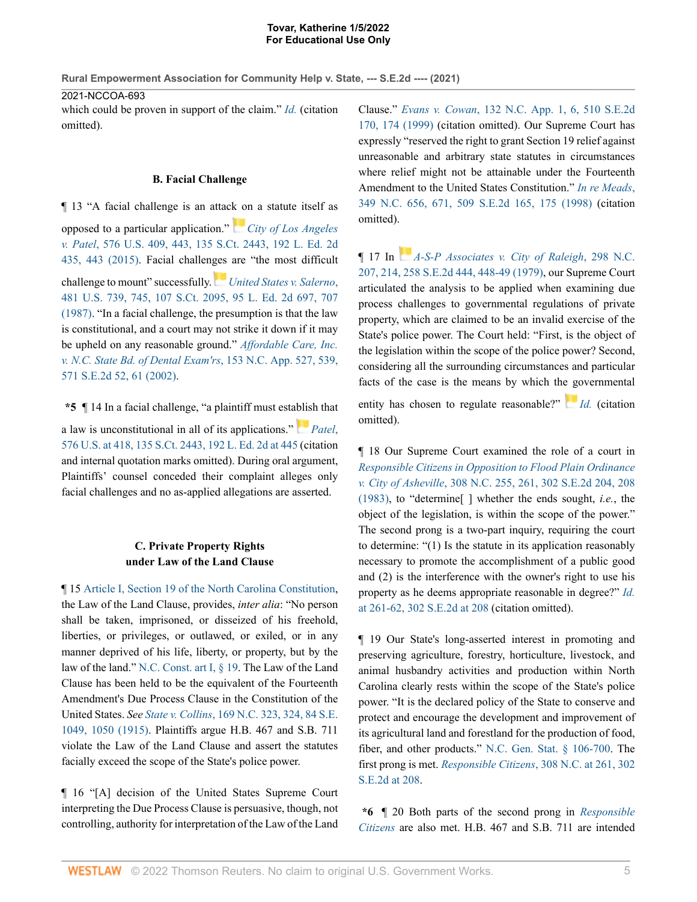**Rural Empowerment Association for Community Help v. State, --- S.E.2d ---- (2021)**

2021-NCCOA-693

which could be proven in support of the claim." *Id.* (citation omitted).

## **B. Facial Challenge**

¶ 13 "A facial challenge is an attack on a statute itself as opposed to a particular application." *City of Los Angeles v. Patel*, 576 U.S. 409, 443, 135 S.Ct. 2443, 192 L. Ed. 2d

435, 443 (2015). Facial challenges are "the most difficult

challenge to mount" successfully. *United States v. Salerno*, 481 U.S. 739, 745, 107 S.Ct. 2095, 95 L. Ed. 2d 697, 707 (1987). "In a facial challenge, the presumption is that the law is constitutional, and a court may not strike it down if it may be upheld on any reasonable ground." *Affordable Care, Inc. v. N.C. State Bd. of Dental Exam'rs*, 153 N.C. App. 527, 539, 571 S.E.2d 52, 61 (2002).

**\*5** ¶ 14 In a facial challenge, "a plaintiff must establish that a law is unconstitutional in all of its applications." *Patel*, 576 U.S. at 418, 135 S.Ct. 2443, 192 L. Ed. 2d at 445 (citation and internal quotation marks omitted). During oral argument, Plaintiffs' counsel conceded their complaint alleges only facial challenges and no as-applied allegations are asserted.

## **C. Private Property Rights under Law of the Land Clause**

¶ 15 Article I, Section 19 of the North Carolina Constitution, the Law of the Land Clause, provides, *inter alia*: "No person shall be taken, imprisoned, or disseized of his freehold, liberties, or privileges, or outlawed, or exiled, or in any manner deprived of his life, liberty, or property, but by the law of the land." N.C. Const. art I, § 19. The Law of the Land Clause has been held to be the equivalent of the Fourteenth Amendment's Due Process Clause in the Constitution of the United States. *See State v. Collins*, 169 N.C. 323, 324, 84 S.E. 1049, 1050 (1915). Plaintiffs argue H.B. 467 and S.B. 711 violate the Law of the Land Clause and assert the statutes facially exceed the scope of the State's police power.

¶ 16 "[A] decision of the United States Supreme Court interpreting the Due Process Clause is persuasive, though, not controlling, authority for interpretation of the Law of the Land Clause." *Evans v. Cowan*, 132 N.C. App. 1, 6, 510 S.E.2d 170, 174 (1999) (citation omitted). Our Supreme Court has expressly "reserved the right to grant Section 19 relief against unreasonable and arbitrary state statutes in circumstances where relief might not be attainable under the Fourteenth Amendment to the United States Constitution." *In re Meads*, 349 N.C. 656, 671, 509 S.E.2d 165, 175 (1998) (citation omitted).

¶ 17 In *A-S-P Associates v. City of Raleigh*, 298 N.C. 207, 214, 258 S.E.2d 444, 448-49 (1979), our Supreme Court articulated the analysis to be applied when examining due process challenges to governmental regulations of private property, which are claimed to be an invalid exercise of the State's police power. The Court held: "First, is the object of the legislation within the scope of the police power? Second, considering all the surrounding circumstances and particular facts of the case is the means by which the governmental

entity has chosen to regulate reasonable?" *Id.* (citation omitted).

¶ 18 Our Supreme Court examined the role of a court in *Responsible Citizens in Opposition to Flood Plain Ordinance v. City of Asheville*, 308 N.C. 255, 261, 302 S.E.2d 204, 208 (1983), to "determine[ ] whether the ends sought, *i.e.*, the object of the legislation, is within the scope of the power." The second prong is a two-part inquiry, requiring the court to determine: "(1) Is the statute in its application reasonably necessary to promote the accomplishment of a public good and (2) is the interference with the owner's right to use his property as he deems appropriate reasonable in degree?" *Id.* at 261-62, 302 S.E.2d at 208 (citation omitted).

¶ 19 Our State's long-asserted interest in promoting and preserving agriculture, forestry, horticulture, livestock, and animal husbandry activities and production within North Carolina clearly rests within the scope of the State's police power. "It is the declared policy of the State to conserve and protect and encourage the development and improvement of its agricultural land and forestland for the production of food, fiber, and other products." N.C. Gen. Stat. § 106-700. The first prong is met. *Responsible Citizens*, 308 N.C. at 261, 302 S.E.2d at 208.

**\*6** ¶ 20 Both parts of the second prong in *Responsible Citizens* are also met. H.B. 467 and S.B. 711 are intended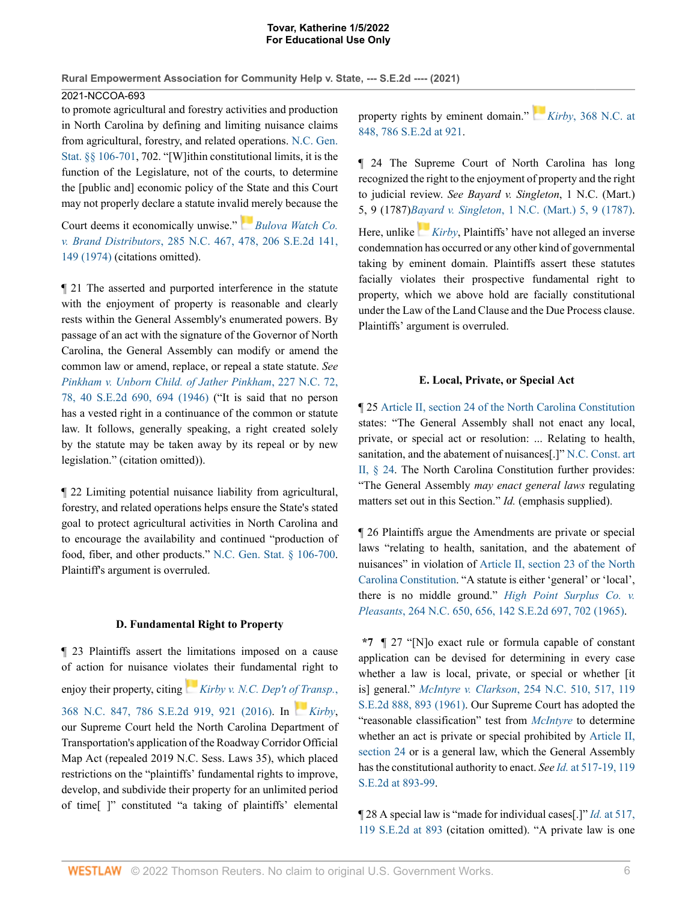**Rural Empowerment Association for Community Help v. State, --- S.E.2d ---- (2021)** 2021-NCCOA-693

to promote agricultural and forestry activities and production in North Carolina by defining and limiting nuisance claims from agricultural, forestry, and related operations. N.C. Gen. Stat. §§ 106-701, 702. "[W]ithin constitutional limits, it is the function of the Legislature, not of the courts, to determine the [public and] economic policy of the State and this Court may not properly declare a statute invalid merely because the

Court deems it economically unwise." *Bulova Watch Co. v. Brand Distributors*, 285 N.C. 467, 478, 206 S.E.2d 141, 149 (1974) (citations omitted).

¶ 21 The asserted and purported interference in the statute with the enjoyment of property is reasonable and clearly rests within the General Assembly's enumerated powers. By passage of an act with the signature of the Governor of North Carolina, the General Assembly can modify or amend the common law or amend, replace, or repeal a state statute. *See Pinkham v. Unborn Child. of Jather Pinkham*, 227 N.C. 72, 78, 40 S.E.2d 690, 694 (1946) ("It is said that no person has a vested right in a continuance of the common or statute law. It follows, generally speaking, a right created solely by the statute may be taken away by its repeal or by new legislation." (citation omitted)).

¶ 22 Limiting potential nuisance liability from agricultural, forestry, and related operations helps ensure the State's stated goal to protect agricultural activities in North Carolina and to encourage the availability and continued "production of food, fiber, and other products." N.C. Gen. Stat. § 106-700. Plaintiff's argument is overruled.

## **D. Fundamental Right to Property**

¶ 23 Plaintiffs assert the limitations imposed on a cause of action for nuisance violates their fundamental right to enjoy their property, citing *Kirby v. N.C. Dep't of Transp.*, 368 N.C. 847, 786 S.E.2d 919, 921 (2016). In *Kirby*, our Supreme Court held the North Carolina Department of Transportation's application of the Roadway Corridor Official Map Act (repealed 2019 N.C. Sess. Laws 35), which placed restrictions on the "plaintiffs' fundamental rights to improve, develop, and subdivide their property for an unlimited period of time[ ]" constituted "a taking of plaintiffs' elemental property rights by eminent domain." *Kirby*, 368 N.C. at 848, 786 S.E.2d at 921.

¶ 24 The Supreme Court of North Carolina has long recognized the right to the enjoyment of property and the right to judicial review. *See Bayard v. Singleton*, 1 N.C. (Mart.) 5, 9 (1787)*Bayard v. Singleton*, 1 N.C. (Mart.) 5, 9 (1787). Here, unlike *Kirby*, Plaintiffs' have not alleged an inverse condemnation has occurred or any other kind of governmental taking by eminent domain. Plaintiffs assert these statutes facially violates their prospective fundamental right to property, which we above hold are facially constitutional under the Law of the Land Clause and the Due Process clause. Plaintiffs' argument is overruled.

## **E. Local, Private, or Special Act**

¶ 25 Article II, section 24 of the North Carolina Constitution states: "The General Assembly shall not enact any local, private, or special act or resolution: ... Relating to health, sanitation, and the abatement of nuisances[.]" N.C. Const. art II, § 24. The North Carolina Constitution further provides: "The General Assembly *may enact general laws* regulating matters set out in this Section." *Id.* (emphasis supplied).

¶ 26 Plaintiffs argue the Amendments are private or special laws "relating to health, sanitation, and the abatement of nuisances" in violation of Article II, section 23 of the North Carolina Constitution. "A statute is either 'general' or 'local', there is no middle ground." *High Point Surplus Co. v. Pleasants*, 264 N.C. 650, 656, 142 S.E.2d 697, 702 (1965).

**\*7** ¶ 27 "[N]o exact rule or formula capable of constant application can be devised for determining in every case whether a law is local, private, or special or whether [it is] general." *McIntyre v. Clarkson*, 254 N.C. 510, 517, 119 S.E.2d 888, 893 (1961). Our Supreme Court has adopted the "reasonable classification" test from *McIntyre* to determine whether an act is private or special prohibited by Article II, section 24 or is a general law, which the General Assembly has the constitutional authority to enact. *See Id.* at 517-19, 119 S.E.2d at 893-99.

¶ 28 A special law is "made for individual cases[.]" *Id.* at 517, 119 S.E.2d at 893 (citation omitted). "A private law is one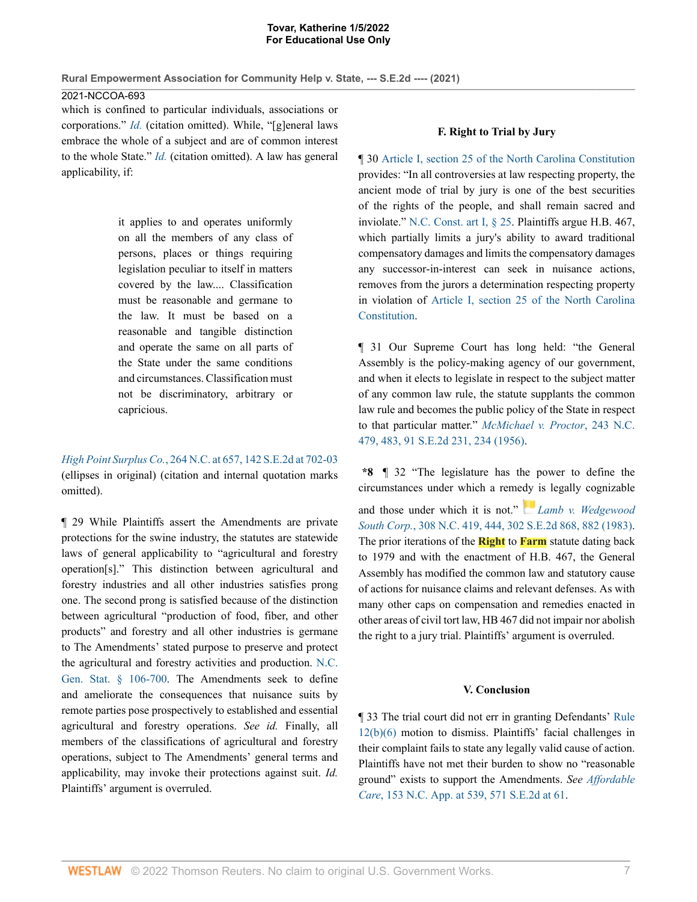**Rural Empowerment Association for Community Help v. State, --- S.E.2d ---- (2021)**

2021-NCCOA-693

which is confined to particular individuals, associations or corporations." *Id.* (citation omitted). While, "[g]eneral laws embrace the whole of a subject and are of common interest to the whole State." *Id.* (citation omitted). A law has general applicability, if:

> it applies to and operates uniformly on all the members of any class of persons, places or things requiring legislation peculiar to itself in matters covered by the law.... Classification must be reasonable and germane to the law. It must be based on a reasonable and tangible distinction and operate the same on all parts of the State under the same conditions and circumstances. Classification must not be discriminatory, arbitrary or capricious.

*High Point Surplus Co.*, 264 N.C. at 657, 142 S.E.2d at 702-03 (ellipses in original) (citation and internal quotation marks omitted).

¶ 29 While Plaintiffs assert the Amendments are private protections for the swine industry, the statutes are statewide laws of general applicability to "agricultural and forestry operation[s]." This distinction between agricultural and forestry industries and all other industries satisfies prong one. The second prong is satisfied because of the distinction between agricultural "production of food, fiber, and other products" and forestry and all other industries is germane to The Amendments' stated purpose to preserve and protect the agricultural and forestry activities and production. N.C. Gen. Stat. § 106-700. The Amendments seek to define and ameliorate the consequences that nuisance suits by remote parties pose prospectively to established and essential agricultural and forestry operations. *See id.* Finally, all members of the classifications of agricultural and forestry operations, subject to The Amendments' general terms and applicability, may invoke their protections against suit. *Id.* Plaintiffs' argument is overruled.

## **F. Right to Trial by Jury**

¶ 30 Article I, section 25 of the North Carolina Constitution provides: "In all controversies at law respecting property, the ancient mode of trial by jury is one of the best securities of the rights of the people, and shall remain sacred and inviolate." N.C. Const. art I, § 25. Plaintiffs argue H.B. 467, which partially limits a jury's ability to award traditional compensatory damages and limits the compensatory damages any successor-in-interest can seek in nuisance actions, removes from the jurors a determination respecting property in violation of Article I, section 25 of the North Carolina Constitution.

¶ 31 Our Supreme Court has long held: "the General Assembly is the policy-making agency of our government, and when it elects to legislate in respect to the subject matter of any common law rule, the statute supplants the common law rule and becomes the public policy of the State in respect to that particular matter." *McMichael v. Proctor*, 243 N.C. 479, 483, 91 S.E.2d 231, 234 (1956).

**\*8** ¶ 32 "The legislature has the power to define the circumstances under which a remedy is legally cognizable and those under which it is not." *Lamb v. Wedgewood South Corp.*, 308 N.C. 419, 444, 302 S.E.2d 868, 882 (1983). The prior iterations of the **Right** to **Farm** statute dating back to 1979 and with the enactment of H.B. 467, the General Assembly has modified the common law and statutory cause of actions for nuisance claims and relevant defenses. As with many other caps on compensation and remedies enacted in other areas of civil tort law, HB 467 did not impair nor abolish the right to a jury trial. Plaintiffs' argument is overruled.

## **V. Conclusion**

¶ 33 The trial court did not err in granting Defendants' Rule 12(b)(6) motion to dismiss. Plaintiffs' facial challenges in their complaint fails to state any legally valid cause of action. Plaintiffs have not met their burden to show no "reasonable ground" exists to support the Amendments. *See Affordable Care*, 153 N.C. App. at 539, 571 S.E.2d at 61.